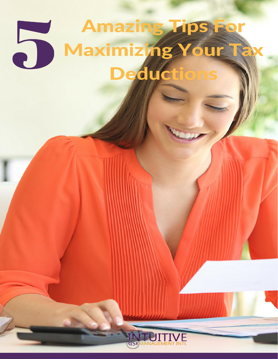# Amazing Tips For 5 Maximizing Your Tax Deductions

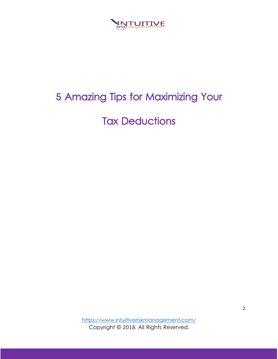

# 5 Amazing Tips for Maximizing Your

Tax Deductions

<https://www.intuitiveriskmanagement.com/> Copyright © 2018. All Rights Reserved.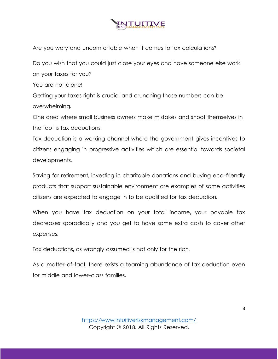

Are you wary and uncomfortable when it comes to tax calculations?

Do you wish that you could just close your eyes and have someone else work on your taxes for you? You are not alone! Getting your taxes right is crucial and crunching those numbers can be overwhelming.

One area where small business owners make mistakes and shoot themselves in the foot is tax deductions.

Tax deduction is a working channel where the government gives incentives to citizens engaging in progressive activities which are essential towards societal developments.

Saving for retirement, investing in charitable donations and buying eco-friendly products that support sustainable environment are examples of some activities citizens are expected to engage in to be qualified for tax deduction.

When you have tax deduction on your total income, your payable tax decreases sporadically and you get to have some extra cash to cover other expenses.

Tax deductions, as wrongly assumed is not only for the rich.

As a matter-of-fact, there exists a teaming abundance of tax deduction even for middle and lower-class families.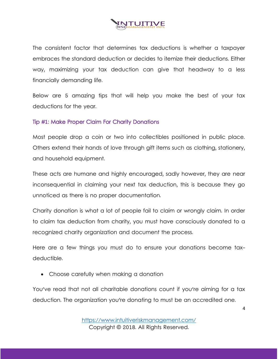

The consistent factor that determines tax deductions is whether a taxpayer embraces the standard deduction or decides to itemize their deductions. Either way, maximizing your tax deduction can give that headway to a less financially demanding life.

Below are 5 amazing tips that will help you make the best of your tax deductions for the year.

#### Tip #1: Make Proper Claim For Charity Donations

Most people drop a coin or two into collectibles positioned in public place. Others extend their hands of love through gift items such as clothing, stationery, and household equipment.

These acts are humane and highly encouraged, sadly however, they are near inconsequential in claiming your next tax deduction, this is because they go unnoticed as there is no proper documentation.

Charity donation is what a lot of people fail to claim or wrongly claim. In order to claim tax deduction from charity, you must have consciously donated to a recognized charity organization and document the process.

Here are a few things you must do to ensure your donations become taxdeductible.

• Choose carefully when making a donation

You've read that not all charitable donations count if you're aiming for a tax deduction. The organization you're donating to must be an accredited one.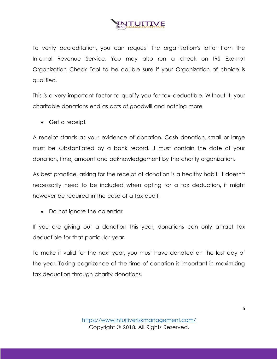

To verify accreditation, you can request the organisation's letter from the Internal Revenue Service. You may also run a check on IRS Exempt Organization Check Tool to be double sure if your Organization of choice is qualified.

This is a very important factor to qualify you for tax-deductible. Without it, your charitable donations end as acts of goodwill and nothing more.

• Get a receipt.

A receipt stands as your evidence of donation. Cash donation, small or large must be substantiated by a bank record. It must contain the date of your donation, time, amount and acknowledgement by the charity organization.

As best practice, asking for the receipt of donation is a healthy habit. It doesn't necessarily need to be included when opting for a tax deduction, it might however be required in the case of a tax audit.

• Do not ignore the calendar

If you are giving out a donation this year, donations can only attract tax deductible for that particular year.

To make it valid for the next year, you must have donated on the last day of the year. Taking cognizance of the time of donation is important in maximizing tax deduction through charity donations.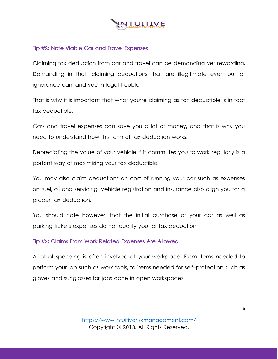

#### Tip #2: Note Viable Car and Travel Expenses

Claiming tax deduction from car and travel can be demanding yet rewarding. Demanding in that, claiming deductions that are illegitimate even out of ignorance can land you in legal trouble.

That is why it is important that what you're claiming as tax deductible is in fact tax deductible.

Cars and travel expenses can save you a lot of money, and that is why you need to understand how this form of tax deduction works.

Depreciating the value of your vehicle if it commutes you to work regularly is a portent way of maximizing your tax deductible.

You may also claim deductions on cost of running your car such as expenses on fuel, oil and servicing. Vehicle registration and insurance also align you for a proper tax deduction.

You should note however, that the initial purchase of your car as well as parking tickets expenses do not quality you for tax deduction.

#### Tip #3: Claims From Work Related Expenses Are Allowed

A lot of spending is often involved at your workplace. From items needed to perform your job such as work tools, to items needed for self-protection such as gloves and sunglasses for jobs done in open workspaces.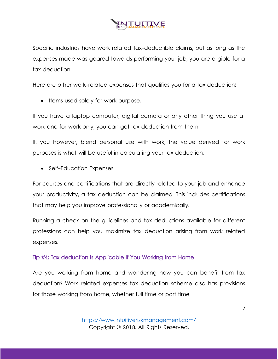

Specific industries have work related tax-deductible claims, but as long as the expenses made was geared towards performing your job, you are eligible for a tax deduction.

Here are other work-related expenses that qualifies you for a tax deduction:

• Items used solely for work purpose.

If you have a laptop computer, digital camera or any other thing you use at work and for work only, you can get tax deduction from them.

If, you however, blend personal use with work, the value derived for work purposes is what will be useful in calculating your tax deduction.

• Self-Education Expenses

For courses and certifications that are directly related to your job and enhance your productivity, a tax deduction can be claimed. This includes certifications that may help you improve professionally or academically.

Running a check on the guidelines and tax deductions available for different professions can help you maximize tax deduction arising from work related expenses.

## Tip #4: Tax deduction Is Applicable If You Working from Home

Are you working from home and wondering how you can benefit from tax deduction? Work related expenses tax deduction scheme also has provisions for those working from home, whether full time or part time.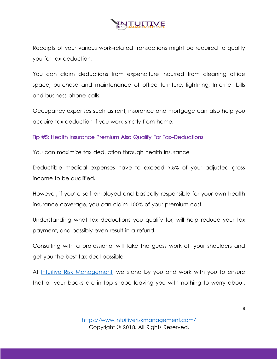

Receipts of your various work-related transactions might be required to qualify you for tax deduction.

You can claim deductions from expenditure incurred from cleaning office space, purchase and maintenance of office furniture, lightning, Internet bills and business phone calls.

Occupancy expenses such as rent, insurance and mortgage can also help you acquire tax deduction if you work strictly from home.

### Tip #5: Health insurance Premium Also Qualify For Tax-Deductions

You can maximize tax deduction through health insurance.

Deductible medical expenses have to exceed 7.5% of your adjusted gross income to be qualified.

However, if you're self-employed and basically responsible for your own health insurance coverage, you can claim 100% of your premium cost.

Understanding what tax deductions you qualify for, will help reduce your tax payment, and possibly even result in a refund.

Consulting with a professional will take the guess work off your shoulders and get you the best tax deal possible.

At Intuitive Risk [Management,](https://www.intuitiveriskmanagement.com/) we stand by you and work with you to ensure that all your books are in top shape leaving you with nothing to worry about.